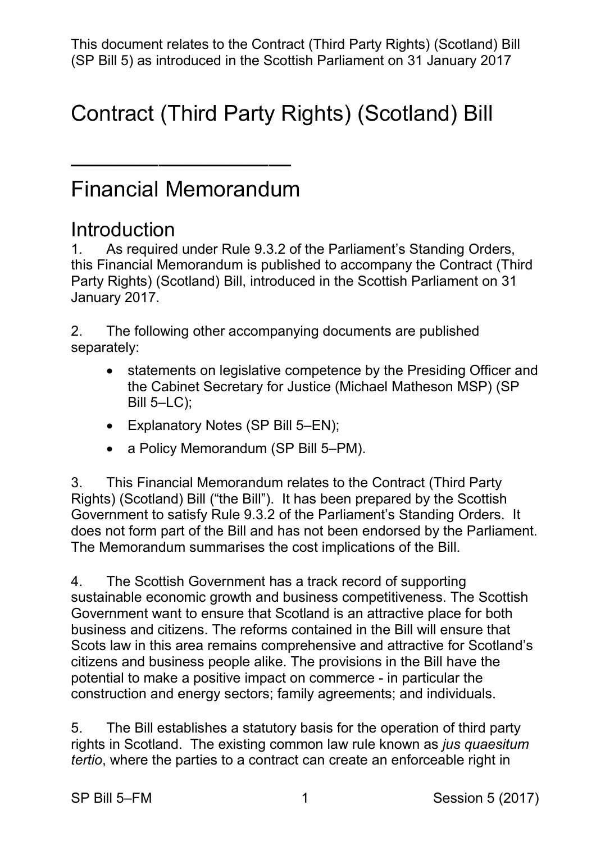This document relates to the Contract (Third Party Rights) (Scotland) Bill (SP Bill 5) as introduced in the Scottish Parliament on 31 January 2017

## Contract (Third Party Rights) (Scotland) Bill

### Financial Memorandum

——————————

#### **Introduction**

 1. As required under Rule 9.3.2 of the Parliament's Standing Orders, Party Rights) (Scotland) Bill, introduced in the Scottish Parliament on 31 this Financial Memorandum is published to accompany the Contract (Third January 2017.

2. The following other accompanying documents are published separately:

- the Cabinet Secretary for Justice (Michael Matheson MSP) (SP Bill 5–LC); • statements on legislative competence by the Presiding Officer and
- Explanatory Notes (SP Bill 5–EN);
- a Policy Memorandum (SP Bill 5–PM).

 3. This Financial Memorandum relates to the Contract (Third Party Rights) (Scotland) Bill ("the Bill"). It has been prepared by the Scottish Government to satisfy Rule 9.3.2 of the Parliament's Standing Orders. It does not form part of the Bill and has not been endorsed by the Parliament. The Memorandum summarises the cost implications of the Bill.

 4. The Scottish Government has a track record of supporting sustainable economic growth and business competitiveness. The Scottish Scots law in this area remains comprehensive and attractive for Scotland's potential to make a positive impact on commerce - in particular the Government want to ensure that Scotland is an attractive place for both business and citizens. The reforms contained in the Bill will ensure that citizens and business people alike. The provisions in the Bill have the construction and energy sectors; family agreements; and individuals.

 5. The Bill establishes a statutory basis for the operation of third party rights in Scotland. The existing common law rule known as *jus quaesitum tertio*, where the parties to a contract can create an enforceable right in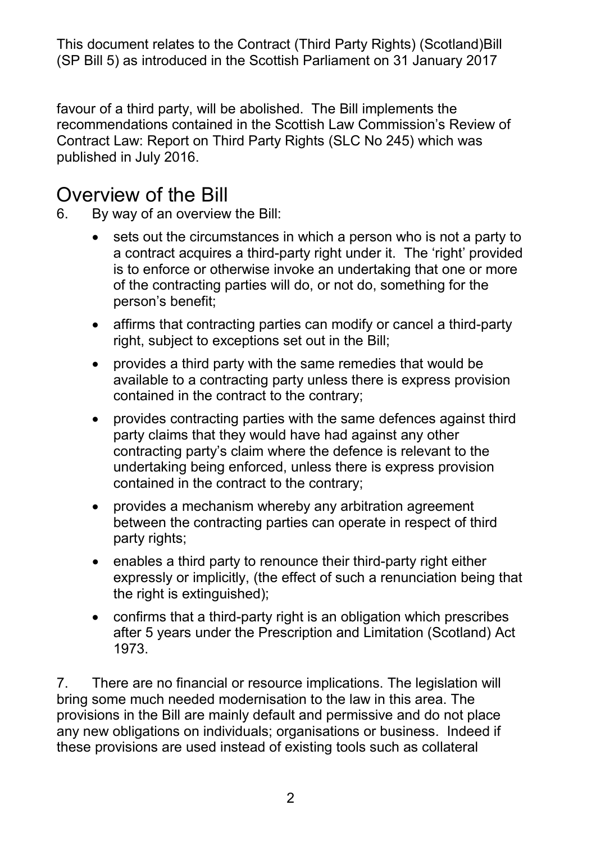This document relates to the Contract (Third Party Rights) (Scotland)Bill (SP Bill 5) as introduced in the Scottish Parliament on 31 January 2017

 favour of a third party, will be abolished. The Bill implements the recommendations contained in the Scottish Law Commission's Review of Contract Law: Report on Third Party Rights (SLC No 245) which was published in July 2016.

#### Overview of the Bill

6. By way of an overview the Bill:

- sets out the circumstances in which a person who is not a party to a contract acquires a third-party right under it. The 'right' provided is to enforce or otherwise invoke an undertaking that one or more of the contracting parties will do, or not do, something for the person's benefit;
- • affirms that contracting parties can modify or cancel a third-party right, subject to exceptions set out in the Bill;
- • provides a third party with the same remedies that would be contained in the contract to the contrary; available to a contracting party unless there is express provision
- $\bullet$  party claims that they would have had against any other contained in the contract to the contrary; • provides contracting parties with the same defences against third contracting party's claim where the defence is relevant to the undertaking being enforced, unless there is express provision
- provides a mechanism whereby any arbitration agreement between the contracting parties can operate in respect of third party rights;
- • enables a third party to renounce their third-party right either expressly or implicitly, (the effect of such a renunciation being that the right is extinguished);
- • confirms that a third-party right is an obligation which prescribes after 5 years under the Prescription and Limitation (Scotland) Act 1973.

 bring some much needed modernisation to the law in this area. The provisions in the Bill are mainly default and permissive and do not place any new obligations on individuals; organisations or business. Indeed if these provisions are used instead of existing tools such as collateral 7. There are no financial or resource implications. The legislation will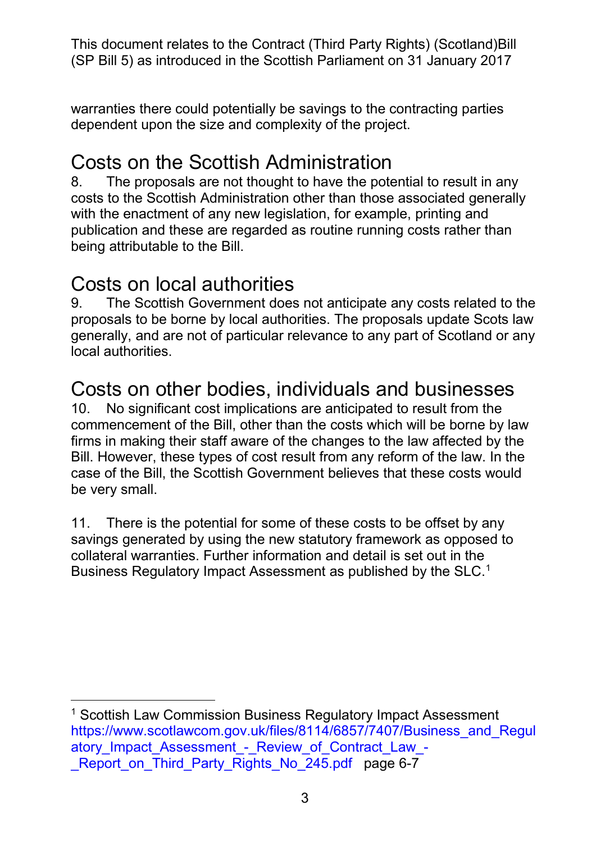This document relates to the Contract (Third Party Rights) (Scotland)Bill (SP Bill 5) as introduced in the Scottish Parliament on 31 January 2017

 warranties there could potentially be savings to the contracting parties dependent upon the size and complexity of the project.

#### Costs on the Scottish Administration

 costs to the Scottish Administration other than those associated generally with the enactment of any new legislation, for example, printing and 8. The proposals are not thought to have the potential to result in any publication and these are regarded as routine running costs rather than being attributable to the Bill.

#### Costs on local authorities

local authorities. 9. The Scottish Government does not anticipate any costs related to the proposals to be borne by local authorities. The proposals update Scots law generally, and are not of particular relevance to any part of Scotland or any

# <sub>local authorities.</sub><br>Costs on other bodies, individuals and businesses

 firms in making their staff aware of the changes to the law affected by the Bill. However, these types of cost result from any reform of the law. In the case of the Bill, the Scottish Government believes that these costs would be very small. 10. No significant cost implications are anticipated to result from the commencement of the Bill, other than the costs which will be borne by law

be very small.<br>11. There is the potential for some of these costs to be offset by any savings generated by using the new statutory framework as opposed to collateral warranties. Further information and detail is set out in the Business Regulatory Impact Assessment as published by the SLC. [1](#page-2-0)

<span id="page-2-0"></span><sup>-</sup> [\\_Report\\_on\\_Third\\_Party\\_Rights\\_No\\_245.pdf](https://www.scotlawcom.gov.uk/files/8114/6857/7407/Business_and_Regulatory_Impact_Assessment_-_Review_of_Contract_Law_-_Report_on_Third_Party_Rights_No_245.pdf) page 6-7 <sup>1</sup> Scottish Law Commission Business Regulatory Impact Assessment https://www.scotlawcom.gov.uk/files/8114/6857/7407/Business\_and\_Regul atory Impact Assessment - Review of Contract Law -